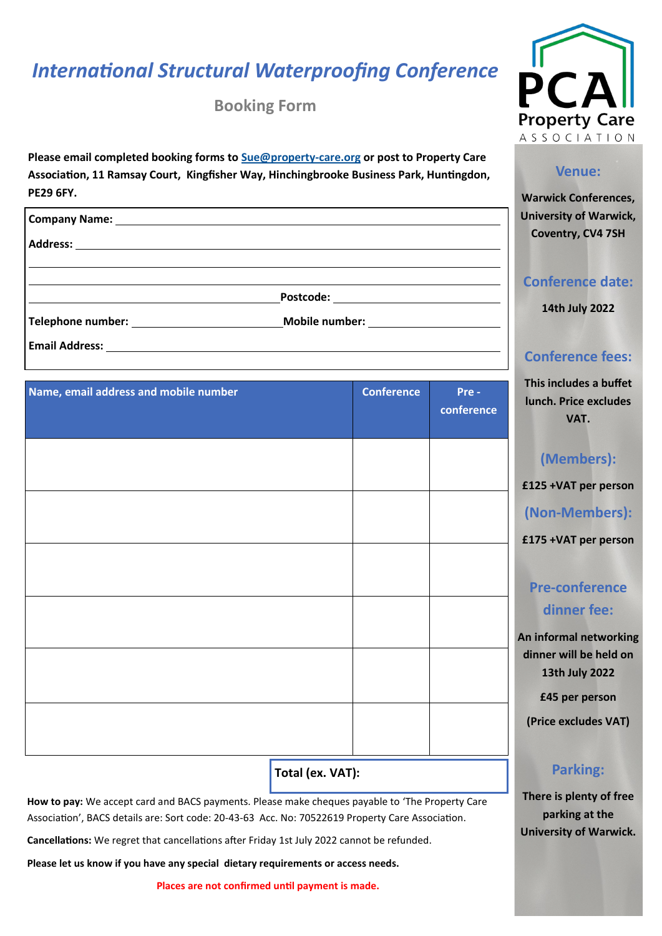# *International Structural Waterproofing Conference*

**Booking Form**



**Company Name:** 

**Address:** 

**Postcode:** 

**Telephone number: Mobile number:** 

**Email Address:** 

| Name, email address and mobile number | <b>Conference</b> | Pre-<br>conference |
|---------------------------------------|-------------------|--------------------|
|                                       |                   |                    |
|                                       |                   |                    |
|                                       |                   |                    |
|                                       |                   |                    |
|                                       |                   |                    |
| <b>College</b>                        |                   |                    |

**Total (ex. VAT):** 

**How to pay:** We accept card and BACS payments. Please make cheques payable to 'The Property Care Association', BACS details are: Sort code: 20-43-63 Acc. No: 70522619 Property Care Association.

**Cancellations:** We regret that cancellations after Friday 1st July 2022 cannot be refunded.

**Please let us know if you have any special dietary requirements or access needs.**

**Places are not confirmed until payment is made.** 



### **Venue:**

**Warwick Conferences, University of Warwick, Coventry, CV4 7SH**

**Conference date:**

**14th July 2022**

### **Conference fees:**

**This includes a buffet lunch. Price excludes VAT.**

### **(Members):**

**£125 +VAT per person**

**(Non-Members):** 

**£175 +VAT per person**

# **Pre-conference dinner fee:**

**An informal networking dinner will be held on 13th July 2022**

**£45 per person**

**(Price excludes VAT)**

### **Parking:**

**There is plenty of free parking at the University of Warwick.**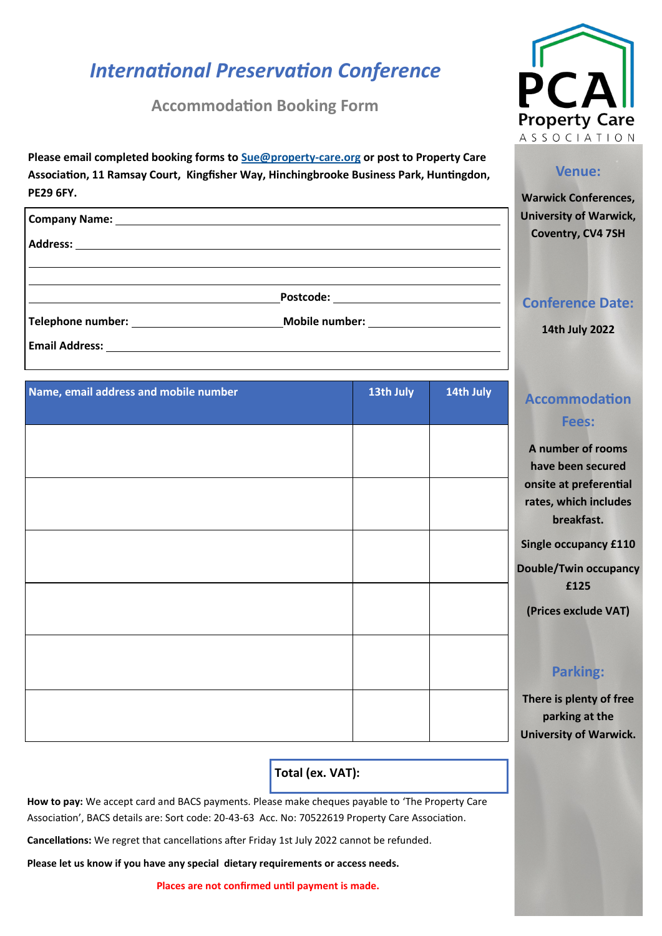# *International Preservation Conference*

**Accommodation Booking Form**

**Please email completed booking forms to [Sue@property](mailto:Sue@property-care.org)-care.org or post to Property Care** 



#### **Venue:**

**Warwick Conferences, University of Warwick, Coventry, CV4 7SH**

| <b>Conference Date:</b> |  |
|-------------------------|--|
|                         |  |
|                         |  |

**14th July 2022**

## **Accommodation Fees:**

**A number of rooms have been secured onsite at preferential rates, which includes breakfast.**

**Single occupancy £110**

**Double/Twin occupancy £125**

**(Prices exclude VAT)**

### **Parking:**

**There is plenty of free parking at the University of Warwick.** 

| Association, 11 Ramsay Court, Kingfisher Way, Hinchingbrooke Business Park, Huntingdon,<br><b>PE29 6FY.</b> |                                                                                                                                                                                                                                |  |  |
|-------------------------------------------------------------------------------------------------------------|--------------------------------------------------------------------------------------------------------------------------------------------------------------------------------------------------------------------------------|--|--|
|                                                                                                             | Company Name: 1988 Company Name: 1988 Company Name: 1988 Company Name: 1988 Company Name: 1988 Company Name: 1988 Company Name: 1988 Company Name: 1988 Company Name: 1988 Company October 2008 Company October 2008 Company O |  |  |
|                                                                                                             |                                                                                                                                                                                                                                |  |  |
|                                                                                                             |                                                                                                                                                                                                                                |  |  |
|                                                                                                             | Mobile number: _________________________                                                                                                                                                                                       |  |  |

**Email Address:** 

| Name, email address and mobile number | 13th July | 14th July |
|---------------------------------------|-----------|-----------|
|                                       |           |           |
|                                       |           |           |
|                                       |           |           |
|                                       |           |           |
|                                       |           | D         |
|                                       |           |           |
|                                       |           |           |
|                                       |           |           |
|                                       |           |           |
|                                       |           |           |

## **Total (ex. VAT):**

**How to pay:** We accept card and BACS payments. Please make cheques payable to 'The Property Care Association', BACS details are: Sort code: 20-43-63 Acc. No: 70522619 Property Care Association.

**Cancellations:** We regret that cancellations after Friday 1st July 2022 cannot be refunded.

**Please let us know if you have any special dietary requirements or access needs.**

**Places are not confirmed until payment is made.**